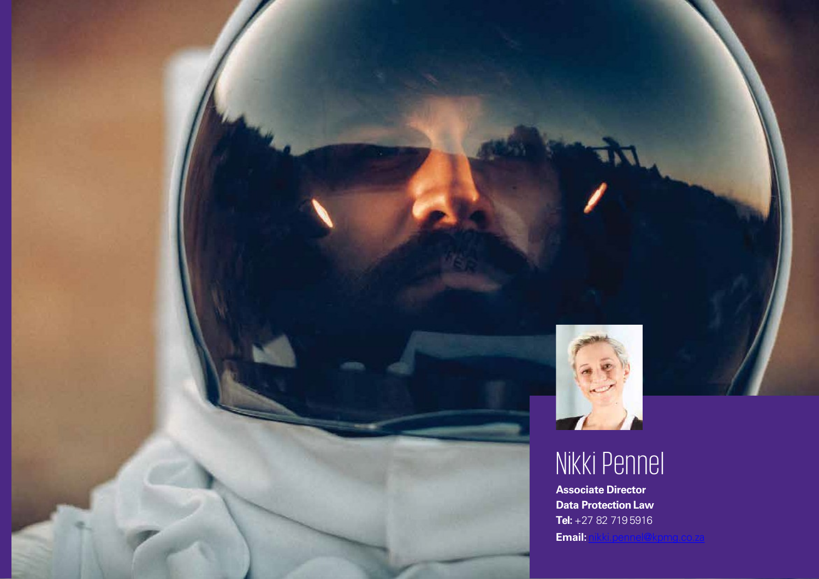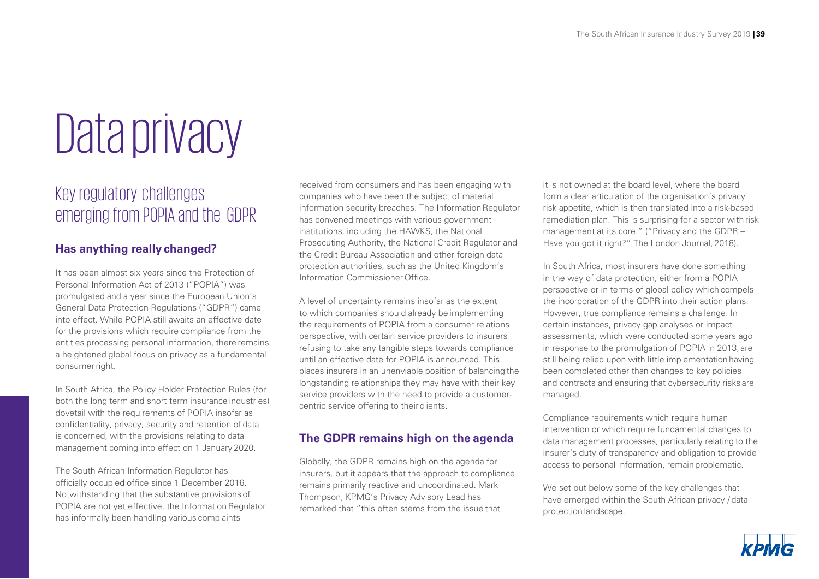# Data privacy

### Key regulatory challenges emerging from POPIA and the GDPR

#### **Has anything really changed?**

It has been almost six years since the Protection of Personal Information Act of 2013 ("POPIA") was promulgated and a year since the European Union's General Data Protection Regulations ("GDPR") came into effect. While POPIA still awaits an effective date for the provisions which require compliance from the entities processing personal information, there remains a heightened global focus on privacy as a fundamental consumer right.

In South Africa, the Policy Holder Protection Rules (for both the long term and short term insurance industries) dovetail with the requirements of POPIA insofar as confidentiality, privacy, security and retention of data is concerned, with the provisions relating to data management coming into effect on 1 January 2020.

The South African Information Regulator has officially occupied office since 1 December 2016. Notwithstanding that the substantive provisions of POPIA are not yet effective, the Information Regulator has informally been handling various complaints

received from consumers and has been engaging with companies who have been the subject of material information security breaches. The Information Regulator has convened meetings with various government institutions, including the HAWKS, the National Prosecuting Authority, the National Credit Regulator and the Credit Bureau Association and other foreign data protection authorities, such as the United Kingdom's Information CommissionerOffice.

A level of uncertainty remains insofar as the extent to which companies should already be implementing the requirements of POPIA from a consumer relations perspective, with certain service providers to insurers refusing to take any tangible steps towards compliance until an effective date for POPIA is announced. This places insurers in an unenviable position of balancing the longstanding relationships they may have with their key service providers with the need to provide a customercentric service offering to their clients.

#### **The GDPR remains high on the agenda**

Globally, the GDPR remains high on the agenda for insurers, but it appears that the approach to compliance remains primarily reactive and uncoordinated. Mark Thompson, KPMG's Privacy Advisory Lead has remarked that "this often stems from the issue that

it is not owned at the board level, where the board form a clear articulation of the organisation's privacy risk appetite, which is then translated into a risk-based remediation plan. This is surprising for a sector with risk management at its core." ("Privacy and the GDPR – Have you got it right?" The London Journal, 2018).

In South Africa, most insurers have done something in the way of data protection, either from a POPIA perspective or in terms of global policy which compels the incorporation of the GDPR into their action plans. However, true compliance remains a challenge. In certain instances, privacy gap analyses or impact assessments, which were conducted some years ago in response to the promulgation of POPIA in 2013, are still being relied upon with little implementation having been completed other than changes to key policies and contracts and ensuring that cybersecurity risks are managed.

Compliance requirements which require human intervention or which require fundamental changes to data management processes, particularly relating to the insurer's duty of transparency and obligation to provide access to personal information, remain problematic.

We set out below some of the key challenges that have emerged within the South African privacy / data protection landscape.

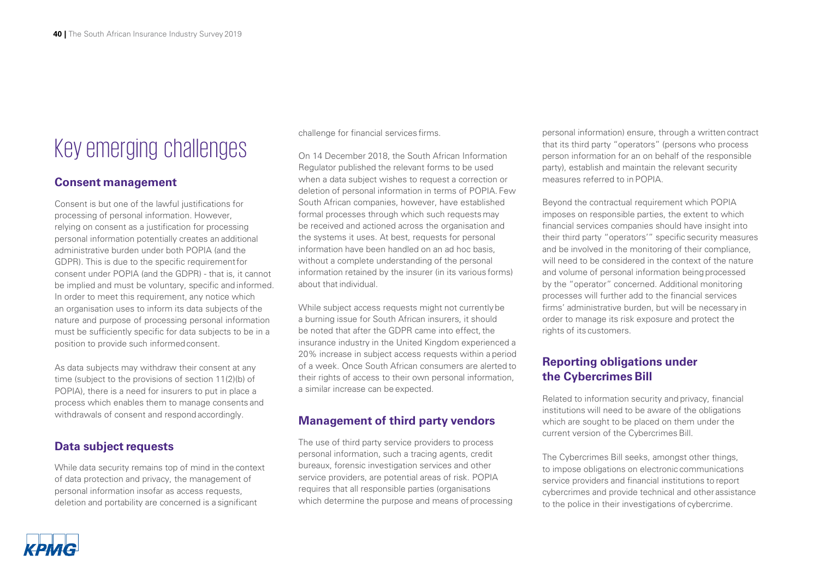## Key emerging challenges

#### **Consent management**

Consent is but one of the lawful justifications for processing of personal information. However, relying on consent as a justification for processing personal information potentially creates an additional administrative burden under both POPIA (and the GDPR). This is due to the specific requirementfor consent under POPIA (and the GDPR) - that is, it cannot be implied and must be voluntary, specific and informed. In order to meet this requirement, any notice which an organisation uses to inform its data subjects of the nature and purpose of processing personal information must be sufficiently specific for data subjects to be in a position to provide such informed consent.

As data subjects may withdraw their consent at any time (subject to the provisions of section 11(2)(b) of POPIA), there is a need for insurers to put in place a process which enables them to manage consents and withdrawals of consent and respond accordingly.

#### **Data subject requests**

While data security remains top of mind in the context of data protection and privacy, the management of personal information insofar as access requests, deletion and portability are concerned is a significant

challenge for financial services firms.

On 14 December 2018, the South African Information Regulator published the relevant forms to be used when a data subject wishes to request a correction or deletion of personal information in terms of POPIA. Few South African companies, however, have established formal processes through which such requests may be received and actioned across the organisation and the systems it uses. At best, requests for personal information have been handled on an ad hoc basis, without a complete understanding of the personal information retained by the insurer (in its various forms) about that individual.

While subject access requests might not currently be a burning issue for South African insurers, it should be noted that after the GDPR came into effect, the insurance industry in the United Kingdom experienced a 20% increase in subject access requests within a period of a week. Once South African consumers are alerted to their rights of access to their own personal information, a similar increase can be expected.

#### **Management of third party vendors**

The use of third party service providers to process personal information, such a tracing agents, credit bureaux, forensic investigation services and other service providers, are potential areas of risk. POPIA requires that all responsible parties (organisations which determine the purpose and means of processing personal information) ensure, through a written contract that its third party "operators" (persons who process person information for an on behalf of the responsible party), establish and maintain the relevant security measures referred to in POPIA.

Beyond the contractual requirement which POPIA imposes on responsible parties, the extent to which financial services companies should have insight into their third party "operators'" specific security measures and be involved in the monitoring of their compliance, will need to be considered in the context of the nature and volume of personal information being processed by the "operator" concerned. Additional monitoring processes will further add to the financial services firms' administrative burden, but will be necessary in order to manage its risk exposure and protect the rights of its customers.

#### **Reporting obligations under the Cybercrimes Bill**

Related to information security and privacy, financial institutions will need to be aware of the obligations which are sought to be placed on them under the current version of the Cybercrimes Bill.

The Cybercrimes Bill seeks, amongst other things, to impose obligations on electronic communications service providers and financial institutions to report cybercrimes and provide technical and other assistance to the police in their investigations of cybercrime.